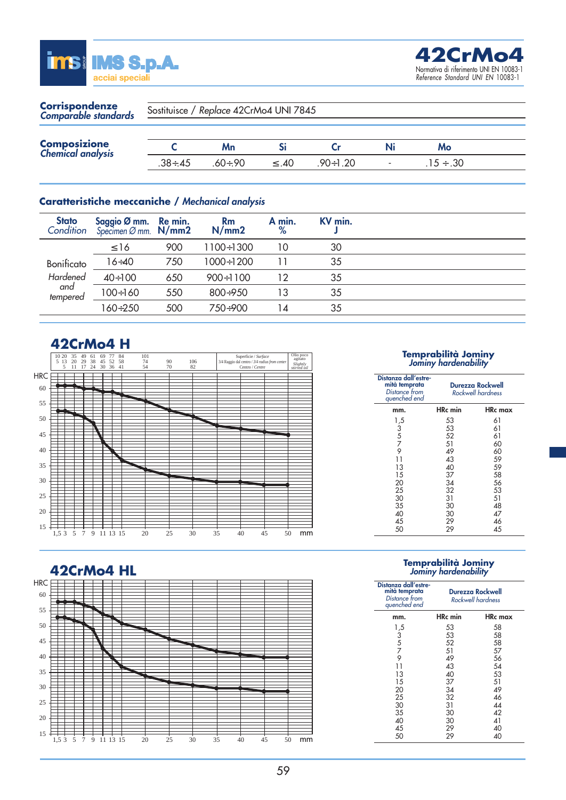



| <b>Corrispondenze</b><br>Comparable standards | Sostituisce / Replace 42CrMo4 UNI 7845 |              |        |          |  |                |  |
|-----------------------------------------------|----------------------------------------|--------------|--------|----------|--|----------------|--|
| <b>Composizione</b><br>Chemical analysis      |                                        | Mn           |        |          |  | Mo             |  |
|                                               | $.38 \div .45$                         | $60 \div 90$ | $<$ 40 | .90÷1.20 |  | $.15 \div .30$ |  |

#### **Caratteristiche meccaniche /** *Mechanical analysis*

| <b>Stato</b><br>Condition | Saggio Ø mm. Re min.<br>Specimen Ø mm. $N/mm2$ |     | <b>Rm</b><br>N/mm2 | A min.<br>% | KV min. |  |
|---------------------------|------------------------------------------------|-----|--------------------|-------------|---------|--|
|                           | $\leq 16$                                      | 900 | $1100 \div 1300$   | 10          | 30      |  |
| Bonificato                | $16 \div 40$                                   | 750 | $1000 \div 1200$   | 11          | 35      |  |
| Hardened                  | $40 \div 100$                                  | 650 | $900 \div 1100$    | 12          | 35      |  |
| and<br>tempered           | $100 \div 160$                                 | 550 | $800+950$          | 13          | 35      |  |
|                           | 160÷250                                        | 500 | 750÷900            | 14          | 35      |  |

### **42CrMo4 H**



## **Temprabilità Jominy** *Jominy hardenability*

| Distanza dall'estre-<br>mità temprata<br>Distance from<br>quenched end | Durezza Rockwell<br>Rockwell hardness |         |  |
|------------------------------------------------------------------------|---------------------------------------|---------|--|
| mm.                                                                    | HRc min                               | HRc max |  |
| 1,5                                                                    | 53                                    | 61      |  |
|                                                                        | 53                                    | 61      |  |
| $\begin{array}{c} 3 \\ 5 \\ 7 \end{array}$                             | 52                                    | 61      |  |
|                                                                        | 51                                    | 60      |  |
| 9                                                                      | 49                                    | 60      |  |
| 11                                                                     | 43                                    | 59      |  |
| 13                                                                     | 40                                    | 59      |  |
| 15                                                                     | 37                                    | 58      |  |
| 20                                                                     | 34                                    | 56      |  |
| 25                                                                     | 32                                    | 53      |  |
| 30                                                                     | 31                                    | 51      |  |
| 35                                                                     | 30                                    | 48      |  |
| 40                                                                     | 30                                    | 47      |  |
| 45                                                                     | 29                                    | 46      |  |
| 50                                                                     | 29                                    | 45      |  |

#### **42CrMo4 HL**



# **Temprabilità Jominy** *Jominy hardenability*

| Distanza dall'estre-<br>mità temprata<br>Distance from<br>quenched end       | Durezza Rockwell<br>Rockwell hardness                                      |                                                                            |  |
|------------------------------------------------------------------------------|----------------------------------------------------------------------------|----------------------------------------------------------------------------|--|
| mm.                                                                          | <b>HRc</b> min                                                             | <b>HRc</b> max                                                             |  |
| 1,5<br>$rac{3}{5}$<br>7<br>9<br>11<br>13<br>15<br>20<br>25<br>30<br>35<br>40 | 53<br>53<br>52<br>51<br>49<br>43<br>40<br>37<br>34<br>32<br>31<br>30<br>30 | 58<br>58<br>58<br>57<br>56<br>54<br>53<br>51<br>49<br>46<br>44<br>42<br>41 |  |
| 45<br>50                                                                     | 29<br>29                                                                   | 40<br>40                                                                   |  |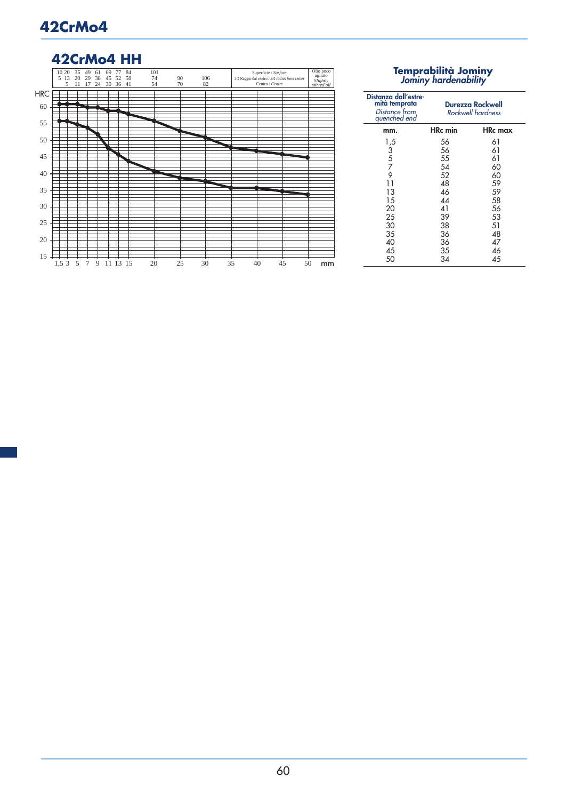## **42CrMo4**

## **42CrMo4 HH**



# **Temprabilità Jominy** *Jominy hardenability*

| Distanza dall'estre-<br>mità temprata<br>Distance from<br>quenched end | <b>Durezza Rockwell</b><br>Rockwell hardness |                |
|------------------------------------------------------------------------|----------------------------------------------|----------------|
| mm.                                                                    | <b>HRc</b> min                               | <b>HRc</b> max |
| $\frac{1}{3}$<br>5<br>7                                                | 56                                           | 61             |
|                                                                        | 56                                           | 61             |
|                                                                        | 55                                           | 61             |
|                                                                        | 54                                           | 60             |
| 9                                                                      | 52                                           | 60             |
| 11                                                                     | 48                                           | 59             |
| 13                                                                     | 46                                           | 59             |
| 15                                                                     | 44                                           | 58             |
| 20                                                                     | 41                                           | 56             |
| 25                                                                     | 39                                           | 53             |
| 30                                                                     | 38                                           | 51             |
| 35                                                                     | 36                                           | 48             |
| 40                                                                     | 36                                           | 47             |
| 45                                                                     | 35                                           | 46             |
| 50                                                                     | 34                                           | 45             |